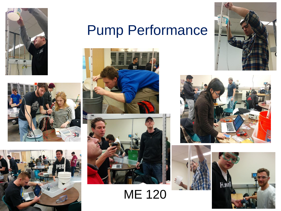

#### Pump Performance







ME 120







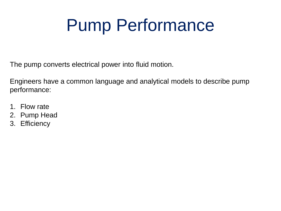### Pump Performance

The pump converts electrical power into fluid motion.

Engineers have a common language and analytical models to describe pump performance:

- 1. Flow rate
- 2. Pump Head
- 3. Efficiency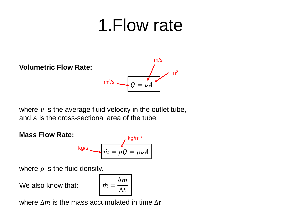#### 1.Flow rate

**Volumetric Flow Rate:** m/s  $m<sup>2</sup>$  $m^3\!$ /s  $Q = vA$ 

where  $v$  is the average fluid velocity in the outlet tube, and  $\vec{A}$  is the cross-sectional area of the tube.

#### **Mass Flow Rate:**

kg/s 
$$
m = \rho Q = \rho v A
$$

 $k<sub>g</sub>$ /m<sup>3</sup>

where  $\rho$  is the fluid density.

We also know that:

$$
\dot{m} = \frac{\Delta m}{\Delta t}
$$

where  $\Delta m$  is the mass accumulated in time  $\Delta t$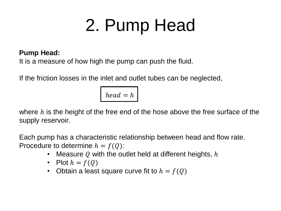# 2. Pump Head

#### **Pump Head:**

It is a measure of how high the pump can push the fluid.

If the friction losses in the inlet and outlet tubes can be neglected,

$$
head = h
$$

where  $h$  is the height of the free end of the hose above the free surface of the supply reservoir.

Each pump has a characteristic relationship between head and flow rate. Procedure to determine  $h = f(Q)$ :

- Measure Q with the outlet held at different heights,  $h$
- Plot  $h = f(Q)$
- Obtain a least square curve fit to  $h = f(Q)$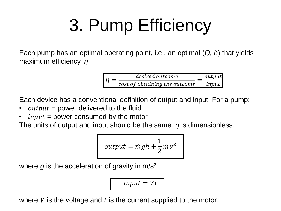# 3. Pump Efficiency

Each pump has an optimal operating point, i.e., an optimal (*Q, h*) that yields maximum efficiency, *η*.

$$
\boxed{\eta = \frac{desired \ outcome}{cost \ of \ obtaining \ the \ outcome}} = \frac{output}{input}
$$

Each device has a conventional definition of output and input. For a pump:

- *output* = power delivered to the fluid
- $input = power$  consumed by the motor

The units of output and input should be the same. *η* is dimensionless.

$$
output = mgh + \frac{1}{2}mv^2
$$

where  $q$  is the acceleration of gravity in  $m/s^2$ 

 $input = VI$ 

where  $V$  is the voltage and  $I$  is the current supplied to the motor.